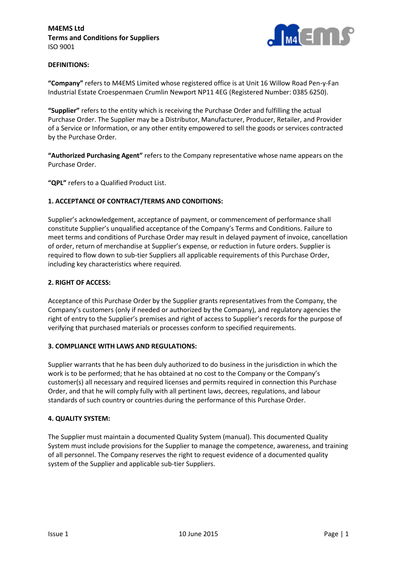

## **DEFINITIONS:**

**"Company"** refers to M4EMS Limited whose registered office is at Unit 16 Willow Road Pen-y-Fan Industrial Estate Croespenmaen Crumlin Newport NP11 4EG (Registered Number: 0385 6250).

**"Supplier"** refers to the entity which is receiving the Purchase Order and fulfilling the actual Purchase Order. The Supplier may be a Distributor, Manufacturer, Producer, Retailer, and Provider of a Service or Information, or any other entity empowered to sell the goods or services contracted by the Purchase Order.

**"Authorized Purchasing Agent"** refers to the Company representative whose name appears on the Purchase Order.

**"QPL"** refers to a Qualified Product List.

## **1. ACCEPTANCE OF CONTRACT/TERMS AND CONDITIONS:**

Supplier's acknowledgement, acceptance of payment, or commencement of performance shall constitute Supplier's unqualified acceptance of the Company's Terms and Conditions. Failure to meet terms and conditions of Purchase Order may result in delayed payment of invoice, cancellation of order, return of merchandise at Supplier's expense, or reduction in future orders. Supplier is required to flow down to sub-tier Suppliers all applicable requirements of this Purchase Order, including key characteristics where required.

### **2. RIGHT OF ACCESS:**

Acceptance of this Purchase Order by the Supplier grants representatives from the Company, the Company's customers (only if needed or authorized by the Company), and regulatory agencies the right of entry to the Supplier's premises and right of access to Supplier's records for the purpose of verifying that purchased materials or processes conform to specified requirements.

### **3. COMPLIANCE WITH LAWS AND REGULATIONS:**

Supplier warrants that he has been duly authorized to do business in the jurisdiction in which the work is to be performed; that he has obtained at no cost to the Company or the Company's customer(s) all necessary and required licenses and permits required in connection this Purchase Order, and that he will comply fully with all pertinent laws, decrees, regulations, and labour standards of such country or countries during the performance of this Purchase Order.

### **4. QUALITY SYSTEM:**

The Supplier must maintain a documented Quality System (manual). This documented Quality System must include provisions for the Supplier to manage the competence, awareness, and training of all personnel. The Company reserves the right to request evidence of a documented quality system of the Supplier and applicable sub-tier Suppliers.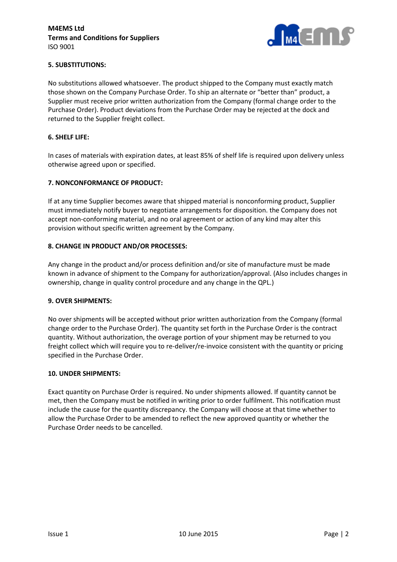

# **5. SUBSTITUTIONS:**

No substitutions allowed whatsoever. The product shipped to the Company must exactly match those shown on the Company Purchase Order. To ship an alternate or "better than" product, a Supplier must receive prior written authorization from the Company (formal change order to the Purchase Order). Product deviations from the Purchase Order may be rejected at the dock and returned to the Supplier freight collect.

### **6. SHELF LIFE:**

In cases of materials with expiration dates, at least 85% of shelf life is required upon delivery unless otherwise agreed upon or specified.

### **7. NONCONFORMANCE OF PRODUCT:**

If at any time Supplier becomes aware that shipped material is nonconforming product, Supplier must immediately notify buyer to negotiate arrangements for disposition. the Company does not accept non-conforming material, and no oral agreement or action of any kind may alter this provision without specific written agreement by the Company.

### **8. CHANGE IN PRODUCT AND/OR PROCESSES:**

Any change in the product and/or process definition and/or site of manufacture must be made known in advance of shipment to the Company for authorization/approval. (Also includes changes in ownership, change in quality control procedure and any change in the QPL.)

#### **9. OVER SHIPMENTS:**

No over shipments will be accepted without prior written authorization from the Company (formal change order to the Purchase Order). The quantity set forth in the Purchase Order is the contract quantity. Without authorization, the overage portion of your shipment may be returned to you freight collect which will require you to re-deliver/re-invoice consistent with the quantity or pricing specified in the Purchase Order.

#### **10. UNDER SHIPMENTS:**

Exact quantity on Purchase Order is required. No under shipments allowed. If quantity cannot be met, then the Company must be notified in writing prior to order fulfilment. This notification must include the cause for the quantity discrepancy. the Company will choose at that time whether to allow the Purchase Order to be amended to reflect the new approved quantity or whether the Purchase Order needs to be cancelled.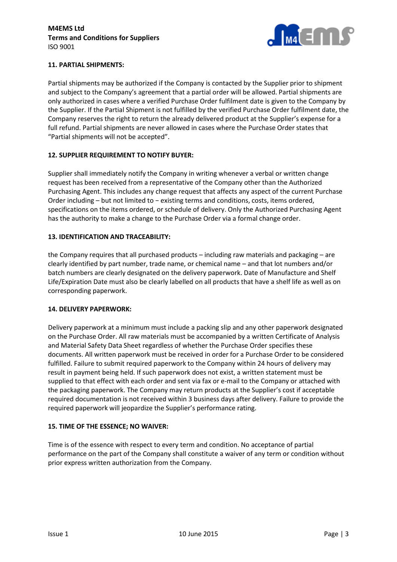

# **11. PARTIAL SHIPMENTS:**

Partial shipments may be authorized if the Company is contacted by the Supplier prior to shipment and subject to the Company's agreement that a partial order will be allowed. Partial shipments are only authorized in cases where a verified Purchase Order fulfilment date is given to the Company by the Supplier. If the Partial Shipment is not fulfilled by the verified Purchase Order fulfilment date, the Company reserves the right to return the already delivered product at the Supplier's expense for a full refund. Partial shipments are never allowed in cases where the Purchase Order states that "Partial shipments will not be accepted".

## **12. SUPPLIER REQUIREMENT TO NOTIFY BUYER:**

Supplier shall immediately notify the Company in writing whenever a verbal or written change request has been received from a representative of the Company other than the Authorized Purchasing Agent. This includes any change request that affects any aspect of the current Purchase Order including – but not limited to − existing terms and conditions, costs, items ordered, specifications on the items ordered, or schedule of delivery. Only the Authorized Purchasing Agent has the authority to make a change to the Purchase Order via a formal change order.

## **13. IDENTIFICATION AND TRACEABILITY:**

the Company requires that all purchased products – including raw materials and packaging – are clearly identified by part number, trade name, or chemical name – and that lot numbers and/or batch numbers are clearly designated on the delivery paperwork. Date of Manufacture and Shelf Life/Expiration Date must also be clearly labelled on all products that have a shelf life as well as on corresponding paperwork.

### **14. DELIVERY PAPERWORK:**

Delivery paperwork at a minimum must include a packing slip and any other paperwork designated on the Purchase Order. All raw materials must be accompanied by a written Certificate of Analysis and Material Safety Data Sheet regardless of whether the Purchase Order specifies these documents. All written paperwork must be received in order for a Purchase Order to be considered fulfilled. Failure to submit required paperwork to the Company within 24 hours of delivery may result in payment being held. If such paperwork does not exist, a written statement must be supplied to that effect with each order and sent via fax or e-mail to the Company or attached with the packaging paperwork. The Company may return products at the Supplier's cost if acceptable required documentation is not received within 3 business days after delivery. Failure to provide the required paperwork will jeopardize the Supplier's performance rating.

### **15. TIME OF THE ESSENCE; NO WAIVER:**

Time is of the essence with respect to every term and condition. No acceptance of partial performance on the part of the Company shall constitute a waiver of any term or condition without prior express written authorization from the Company.